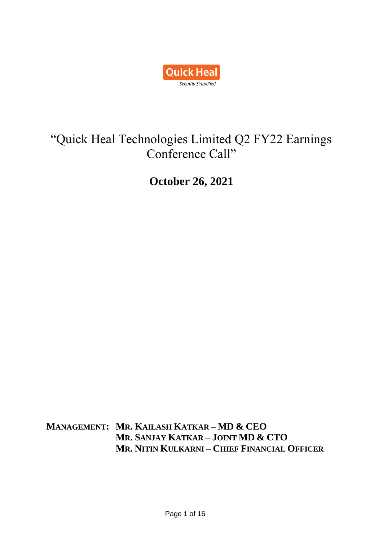

# "Quick Heal Technologies Limited Q2 FY22 Earnings Conference Call"

**October 26, 2021**

**MANAGEMENT: MR. KAILASH KATKAR – MD & CEO MR. SANJAY KATKAR – JOINT MD & CTO MR. NITIN KULKARNI – CHIEF FINANCIAL OFFICER**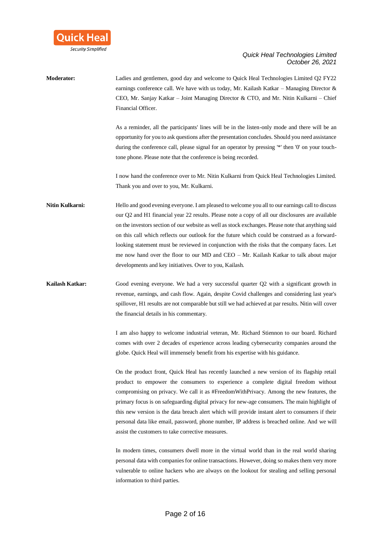

**Moderator:** Ladies and gentlemen, good day and welcome to Quick Heal Technologies Limited Q2 FY22 earnings conference call. We have with us today, Mr. Kailash Katkar – Managing Director & CEO, Mr. Sanjay Katkar – Joint Managing Director & CTO, and Mr. Nitin Kulkarni – Chief Financial Officer. As a reminder, all the participants' lines will be in the listen-only mode and there will be an opportunity for you to ask questions after the presentation concludes. Should you need assistance during the conference call, please signal for an operator by pressing '\*' then '0' on your touchtone phone. Please note that the conference is being recorded. I now hand the conference over to Mr. Nitin Kulkarni from Quick Heal Technologies Limited. Thank you and over to you, Mr. Kulkarni. **Nitin Kulkarni:** Hello and good evening everyone. I am pleased to welcome you all to our earnings call to discuss our Q2 and H1 financial year 22 results. Please note a copy of all our disclosures are available on the investors section of our website as well as stock exchanges. Please note that anything said on this call which reflects our outlook for the future which could be construed as a forwardlooking statement must be reviewed in conjunction with the risks that the company faces. Let me now hand over the floor to our MD and CEO – Mr. Kailash Katkar to talk about major developments and key initiatives. Over to you, Kailash. **Kailash Katkar:** Good evening everyone. We had a very successful quarter Q2 with a significant growth in revenue, earnings, and cash flow. Again, despite Covid challenges and considering last year's spillover, H1 results are not comparable but still we had achieved at par results. Nitin will cover the financial details in his commentary. I am also happy to welcome industrial veteran, Mr. Richard Stiennon to our board. Richard comes with over 2 decades of experience across leading cybersecurity companies around the globe. Quick Heal will immensely benefit from his expertise with his guidance. On the product front, Quick Heal has recently launched a new version of its flagship retail product to empower the consumers to experience a complete digital freedom without compromising on privacy. We call it as #FreedomWithPrivacy. Among the new features, the primary focus is on safeguarding digital privacy for new-age consumers. The main highlight of this new version is the data breach alert which will provide instant alert to consumers if their personal data like email, password, phone number, IP address is breached online. And we will assist the customers to take corrective measures. In modern times, consumers dwell more in the virtual world than in the real world sharing personal data with companies for online transactions. However, doing so makes them very more vulnerable to online hackers who are always on the lookout for stealing and selling personal information to third parties.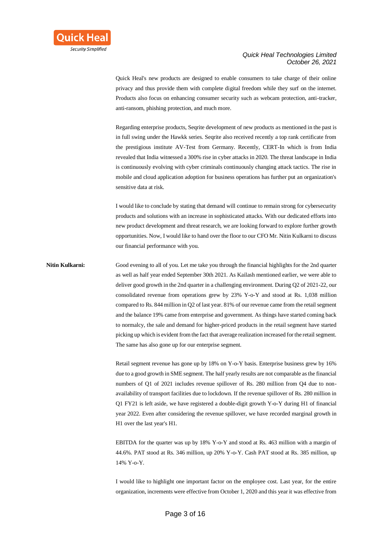

Quick Heal's new products are designed to enable consumers to take charge of their online privacy and thus provide them with complete digital freedom while they surf on the internet. Products also focus on enhancing consumer security such as webcam protection, anti-tracker, anti-ransom, phishing protection, and much more.

Regarding enterprise products, Seqrite development of new products as mentioned in the past is in full swing under the Hawkk series. Seqrite also received recently a top rank certificate from the prestigious institute AV-Test from Germany. Recently, CERT-In which is from India revealed that India witnessed a 300% rise in cyber attacks in 2020. The threat landscape in India is continuously evolving with cyber criminals continuously changing attack tactics. The rise in mobile and cloud application adoption for business operations has further put an organization's sensitive data at risk.

I would like to conclude by stating that demand will continue to remain strong for cybersecurity products and solutions with an increase in sophisticated attacks. With our dedicated efforts into new product development and threat research, we are looking forward to explore further growth opportunities. Now, I would like to hand over the floor to our CFO Mr. Nitin Kulkarni to discuss our financial performance with you.

**Nitin Kulkarni:** Good evening to all of you. Let me take you through the financial highlights for the 2nd quarter as well as half year ended September 30th 2021. As Kailash mentioned earlier, we were able to deliver good growth in the 2nd quarter in a challenging environment. During Q2 of 2021-22, our consolidated revenue from operations grew by 23% Y-o-Y and stood at Rs. 1,038 million compared to Rs. 844 million in Q2 of last year. 81% of our revenue came from the retail segment and the balance 19% came from enterprise and government. As things have started coming back to normalcy, the sale and demand for higher-priced products in the retail segment have started picking up which is evident from the fact that average realization increased for the retail segment. The same has also gone up for our enterprise segment.

> Retail segment revenue has gone up by 18% on Y-o-Y basis. Enterprise business grew by 16% due to a good growth in SME segment. The half yearly results are not comparable as the financial numbers of Q1 of 2021 includes revenue spillover of Rs. 280 million from Q4 due to nonavailability of transport facilities due to lockdown. If the revenue spillover of Rs. 280 million in Q1 FY21 is left aside, we have registered a double-digit growth Y-o-Y during H1 of financial year 2022. Even after considering the revenue spillover, we have recorded marginal growth in H1 over the last year's H1.

> EBITDA for the quarter was up by 18% Y-o-Y and stood at Rs. 463 million with a margin of 44.6%. PAT stood at Rs. 346 million, up 20% Y-o-Y. Cash PAT stood at Rs. 385 million, up 14% Y-o-Y.

> I would like to highlight one important factor on the employee cost. Last year, for the entire organization, increments were effective from October 1, 2020 and this year it was effective from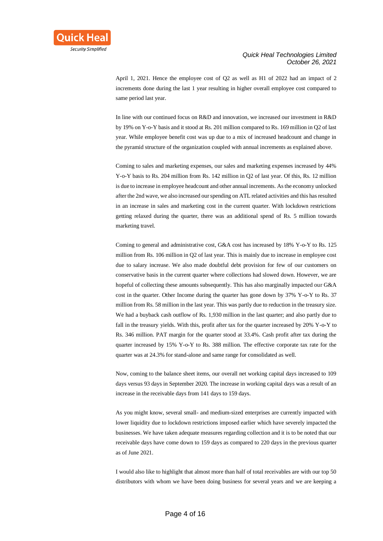April 1, 2021. Hence the employee cost of Q2 as well as H1 of 2022 had an impact of 2 increments done during the last 1 year resulting in higher overall employee cost compared to same period last year.

In line with our continued focus on R&D and innovation, we increased our investment in R&D by 19% on Y-o-Y basis and it stood at Rs. 201 million compared to Rs. 169 million in Q2 of last year. While employee benefit cost was up due to a mix of increased headcount and change in the pyramid structure of the organization coupled with annual increments as explained above.

Coming to sales and marketing expenses, our sales and marketing expenses increased by 44% Y-o-Y basis to Rs. 204 million from Rs. 142 million in Q2 of last year. Of this, Rs. 12 million is due to increase in employee headcount and other annual increments. As the economy unlocked after the 2nd wave, we also increased our spending on ATL related activities and this has resulted in an increase in sales and marketing cost in the current quarter. With lockdown restrictions getting relaxed during the quarter, there was an additional spend of Rs. 5 million towards marketing travel.

Coming to general and administrative cost, G&A cost has increased by 18% Y-o-Y to Rs. 125 million from Rs. 106 million in Q2 of last year. This is mainly due to increase in employee cost due to salary increase. We also made doubtful debt provision for few of our customers on conservative basis in the current quarter where collections had slowed down. However, we are hopeful of collecting these amounts subsequently. This has also marginally impacted our G&A cost in the quarter. Other Income during the quarter has gone down by 37% Y-o-Y to Rs. 37 million from Rs. 58 million in the last year. This was partly due to reduction in the treasury size. We had a buyback cash outflow of Rs. 1,930 million in the last quarter; and also partly due to fall in the treasury yields. With this, profit after tax for the quarter increased by 20% Y-o-Y to Rs. 346 million. PAT margin for the quarter stood at 33.4%. Cash profit after tax during the quarter increased by 15% Y-o-Y to Rs. 388 million. The effective corporate tax rate for the quarter was at 24.3% for stand-alone and same range for consolidated as well.

Now, coming to the balance sheet items, our overall net working capital days increased to 109 days versus 93 days in September 2020. The increase in working capital days was a result of an increase in the receivable days from 141 days to 159 days.

As you might know, several small- and medium-sized enterprises are currently impacted with lower liquidity due to lockdown restrictions imposed earlier which have severely impacted the businesses. We have taken adequate measures regarding collection and it is to be noted that our receivable days have come down to 159 days as compared to 220 days in the previous quarter as of June 2021.

I would also like to highlight that almost more than half of total receivables are with our top 50 distributors with whom we have been doing business for several years and we are keeping a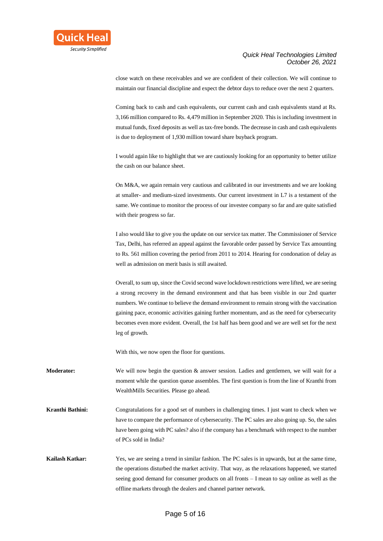

close watch on these receivables and we are confident of their collection. We will continue to maintain our financial discipline and expect the debtor days to reduce over the next 2 quarters.

Coming back to cash and cash equivalents, our current cash and cash equivalents stand at Rs. 3,166 million compared to Rs. 4,479 million in September 2020. This is including investment in mutual funds, fixed deposits as well as tax-free bonds. The decrease in cash and cash equivalents is due to deployment of 1,930 million toward share buyback program.

I would again like to highlight that we are cautiously looking for an opportunity to better utilize the cash on our balance sheet.

On M&A, we again remain very cautious and calibrated in our investments and we are looking at smaller- and medium-sized investments. Our current investment in L7 is a testament of the same. We continue to monitor the process of our investee company so far and are quite satisfied with their progress so far.

I also would like to give you the update on our service tax matter. The Commissioner of Service Tax, Delhi, has referred an appeal against the favorable order passed by Service Tax amounting to Rs. 561 million covering the period from 2011 to 2014. Hearing for condonation of delay as well as admission on merit basis is still awaited.

Overall, to sum up, since the Covid second wave lockdown restrictions were lifted, we are seeing a strong recovery in the demand environment and that has been visible in our 2nd quarter numbers. We continue to believe the demand environment to remain strong with the vaccination gaining pace, economic activities gaining further momentum, and as the need for cybersecurity becomes even more evident. Overall, the 1st half has been good and we are well set for the next leg of growth.

With this, we now open the floor for questions.

**Moderator:** We will now begin the question & answer session. Ladies and gentlemen, we will wait for a moment while the question queue assembles. The first question is from the line of Kranthi from WealthMills Securities. Please go ahead.

**Kranthi Bathini:** Congratulations for a good set of numbers in challenging times. I just want to check when we have to compare the performance of cybersecurity. The PC sales are also going up. So, the sales have been going with PC sales? also if the company has a benchmark with respect to the number of PCs sold in India?

**Kailash Katkar:** Yes, we are seeing a trend in similar fashion. The PC sales is in upwards, but at the same time, the operations disturbed the market activity. That way, as the relaxations happened, we started seeing good demand for consumer products on all fronts – I mean to say online as well as the offline markets through the dealers and channel partner network.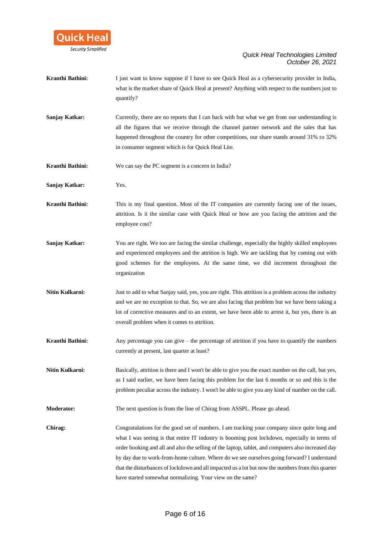

| Kranthi Bathini: | I just want to know suppose if I have to see Quick Heal as a cybersecurity provider in India,<br>what is the market share of Quick Heal at present? Anything with respect to the numbers just to<br>quantify?                                                                                                                                                                                                                                                                                                                                                        |
|------------------|----------------------------------------------------------------------------------------------------------------------------------------------------------------------------------------------------------------------------------------------------------------------------------------------------------------------------------------------------------------------------------------------------------------------------------------------------------------------------------------------------------------------------------------------------------------------|
| Sanjay Katkar:   | Currently, there are no reports that I can back with but what we get from our understanding is<br>all the figures that we receive through the channel partner network and the sales that has<br>happened throughout the country for other competitions, our share stands around 31% to 32%<br>in consumer segment which is for Quick Heal Lite.                                                                                                                                                                                                                      |
| Kranthi Bathini: | We can say the PC segment is a concern in India?                                                                                                                                                                                                                                                                                                                                                                                                                                                                                                                     |
| Sanjay Katkar:   | Yes.                                                                                                                                                                                                                                                                                                                                                                                                                                                                                                                                                                 |
| Kranthi Bathini: | This is my final question. Most of the IT companies are currently facing one of the issues,<br>attrition. Is it the similar case with Quick Heal or how are you facing the attrition and the<br>employee cost?                                                                                                                                                                                                                                                                                                                                                       |
| Sanjay Katkar:   | You are right. We too are facing the similar challenge, especially the highly skilled employees<br>and experienced employees and the attrition is high. We are tackling that by coming out with<br>good schemes for the employees. At the same time, we did increment throughout the<br>organization                                                                                                                                                                                                                                                                 |
| Nitin Kulkarni:  | Just to add to what Sanjay said, yes, you are right. This attrition is a problem across the industry<br>and we are no exception to that. So, we are also facing that problem but we have been taking a<br>lot of corrective measures and to an extent, we have been able to arrest it, but yes, there is an<br>overall problem when it comes to attrition.                                                                                                                                                                                                           |
| Kranthi Bathini: | Any percentage you can give $-$ the percentage of attrition if you have to quantify the numbers<br>currently at present, last quarter at least?                                                                                                                                                                                                                                                                                                                                                                                                                      |
| Nitin Kulkarni:  | Basically, attrition is there and I won't be able to give you the exact number on the call, but yes,<br>as I said earlier, we have been facing this problem for the last 6 months or so and this is the<br>problem peculiar across the industry. I won't be able to give you any kind of number on the call.                                                                                                                                                                                                                                                         |
| Moderator:       | The next question is from the line of Chirag from ASSPL. Please go ahead.                                                                                                                                                                                                                                                                                                                                                                                                                                                                                            |
| Chirag:          | Congratulations for the good set of numbers. I am tracking your company since quite long and<br>what I was seeing is that entire IT industry is booming post lockdown, especially in terms of<br>order booking and all and also the selling of the laptop, tablet, and computers also increased day<br>by day due to work-from-home culture. Where do we see ourselves going forward? I understand<br>that the disturbances of lockdown and all impacted us a lot but now the numbers from this quarter<br>have started somewhat normalizing. Your view on the same? |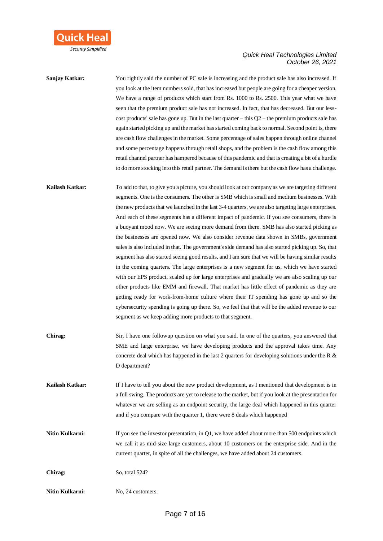

| Sanjay Katkar:  | You rightly said the number of PC sale is increasing and the product sale has also increased. If                                                                                               |
|-----------------|------------------------------------------------------------------------------------------------------------------------------------------------------------------------------------------------|
|                 | you look at the item numbers sold, that has increased but people are going for a cheaper version.<br>We have a range of products which start from Rs. 1000 to Rs. 2500. This year what we have |
|                 | seen that the premium product sale has not increased. In fact, that has decreased. But our less-                                                                                               |
|                 | cost products' sale has gone up. But in the last quarter – this $Q2$ – the premium products sale has                                                                                           |
|                 | again started picking up and the market has started coming back to normal. Second point is, there                                                                                              |
|                 |                                                                                                                                                                                                |
|                 | are cash flow challenges in the market. Some percentage of sales happen through online channel                                                                                                 |
|                 | and some percentage happens through retail shops, and the problem is the cash flow among this                                                                                                  |
|                 | retail channel partner has hampered because of this pandemic and that is creating a bit of a hurdle                                                                                            |
|                 | to do more stocking into this retail partner. The demand is there but the cash flow has a challenge.                                                                                           |
| Kailash Katkar: | To add to that, to give you a picture, you should look at our company as we are targeting different                                                                                            |
|                 | segments. One is the consumers. The other is SMB which is small and medium businesses. With                                                                                                    |
|                 | the new products that we launched in the last 3-4 quarters, we are also targeting large enterprises.                                                                                           |
|                 | And each of these segments has a different impact of pandemic. If you see consumers, there is                                                                                                  |
|                 | a buoyant mood now. We are seeing more demand from there. SMB has also started picking as                                                                                                      |
|                 | the businesses are opened now. We also consider revenue data shown in SMBs, government                                                                                                         |
|                 | sales is also included in that. The government's side demand has also started picking up. So, that                                                                                             |
|                 |                                                                                                                                                                                                |
|                 | segment has also started seeing good results, and I am sure that we will be having similar results                                                                                             |
|                 | in the coming quarters. The large enterprises is a new segment for us, which we have started                                                                                                   |
|                 | with our EPS product, scaled up for large enterprises and gradually we are also scaling up our                                                                                                 |
|                 | other products like EMM and firewall. That market has little effect of pandemic as they are                                                                                                    |
|                 | getting ready for work-from-home culture where their IT spending has gone up and so the                                                                                                        |
|                 | cybersecurity spending is going up there. So, we feel that that will be the added revenue to our                                                                                               |
|                 | segment as we keep adding more products to that segment.                                                                                                                                       |
| Chirag:         | Sir, I have one followup question on what you said. In one of the quarters, you answered that                                                                                                  |
|                 | SME and large enterprise, we have developing products and the approval takes time. Any                                                                                                         |
|                 | concrete deal which has happened in the last 2 quarters for developing solutions under the R &                                                                                                 |
|                 | D department?                                                                                                                                                                                  |
| Kailash Katkar: | If I have to tell you about the new product development, as I mentioned that development is in                                                                                                 |
|                 | a full swing. The products are yet to release to the market, but if you look at the presentation for                                                                                           |
|                 | whatever we are selling as an endpoint security, the large deal which happened in this quarter                                                                                                 |
|                 |                                                                                                                                                                                                |
|                 | and if you compare with the quarter 1, there were 8 deals which happened                                                                                                                       |
| Nitin Kulkarni: | If you see the investor presentation, in $Q1$ , we have added about more than 500 endpoints which                                                                                              |
|                 | we call it as mid-size large customers, about 10 customers on the enterprise side. And in the                                                                                                  |
|                 | current quarter, in spite of all the challenges, we have added about 24 customers.                                                                                                             |
| Chirag:         | So, total 524?                                                                                                                                                                                 |
| Nitin Kulkarni: | No, 24 customers.                                                                                                                                                                              |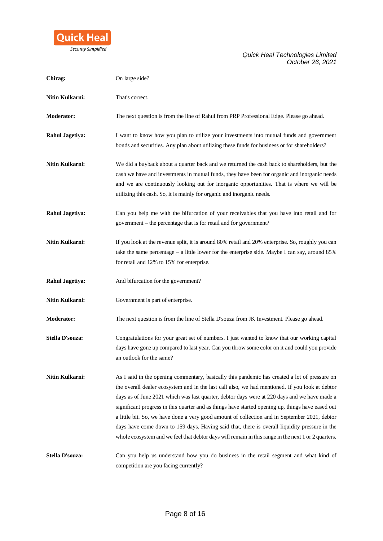

| Chirag:                | On large side?                                                                                                                                                                                                                                                                                                                                                                                                                                                                                                                                                                                                                                                                                                 |
|------------------------|----------------------------------------------------------------------------------------------------------------------------------------------------------------------------------------------------------------------------------------------------------------------------------------------------------------------------------------------------------------------------------------------------------------------------------------------------------------------------------------------------------------------------------------------------------------------------------------------------------------------------------------------------------------------------------------------------------------|
| Nitin Kulkarni:        | That's correct.                                                                                                                                                                                                                                                                                                                                                                                                                                                                                                                                                                                                                                                                                                |
| <b>Moderator:</b>      | The next question is from the line of Rahul from PRP Professional Edge. Please go ahead.                                                                                                                                                                                                                                                                                                                                                                                                                                                                                                                                                                                                                       |
| Rahul Jagetiya:        | I want to know how you plan to utilize your investments into mutual funds and government<br>bonds and securities. Any plan about utilizing these funds for business or for shareholders?                                                                                                                                                                                                                                                                                                                                                                                                                                                                                                                       |
| Nitin Kulkarni:        | We did a buyback about a quarter back and we returned the cash back to shareholders, but the<br>cash we have and investments in mutual funds, they have been for organic and inorganic needs<br>and we are continuously looking out for inorganic opportunities. That is where we will be<br>utilizing this cash. So, it is mainly for organic and inorganic needs.                                                                                                                                                                                                                                                                                                                                            |
| <b>Rahul Jagetiya:</b> | Can you help me with the bifurcation of your receivables that you have into retail and for<br>government - the percentage that is for retail and for government?                                                                                                                                                                                                                                                                                                                                                                                                                                                                                                                                               |
| Nitin Kulkarni:        | If you look at the revenue split, it is around 80% retail and 20% enterprise. So, roughly you can<br>take the same percentage - a little lower for the enterprise side. Maybe I can say, around 85%<br>for retail and 12% to 15% for enterprise.                                                                                                                                                                                                                                                                                                                                                                                                                                                               |
| <b>Rahul Jagetiya:</b> | And bifurcation for the government?                                                                                                                                                                                                                                                                                                                                                                                                                                                                                                                                                                                                                                                                            |
| Nitin Kulkarni:        | Government is part of enterprise.                                                                                                                                                                                                                                                                                                                                                                                                                                                                                                                                                                                                                                                                              |
|                        |                                                                                                                                                                                                                                                                                                                                                                                                                                                                                                                                                                                                                                                                                                                |
| <b>Moderator:</b>      | The next question is from the line of Stella D'souza from JK Investment. Please go ahead.                                                                                                                                                                                                                                                                                                                                                                                                                                                                                                                                                                                                                      |
| Stella D'souza:        | Congratulations for your great set of numbers. I just wanted to know that our working capital<br>days have gone up compared to last year. Can you throw some color on it and could you provide<br>an outlook for the same?                                                                                                                                                                                                                                                                                                                                                                                                                                                                                     |
| Nitin Kulkarni:        | As I said in the opening commentary, basically this pandemic has created a lot of pressure on<br>the overall dealer ecosystem and in the last call also, we had mentioned. If you look at debtor<br>days as of June 2021 which was last quarter, debtor days were at 220 days and we have made a<br>significant progress in this quarter and as things have started opening up, things have eased out<br>a little bit. So, we have done a very good amount of collection and in September 2021, debtor<br>days have come down to 159 days. Having said that, there is overall liquidity pressure in the<br>whole ecosystem and we feel that debtor days will remain in this range in the next 1 or 2 quarters. |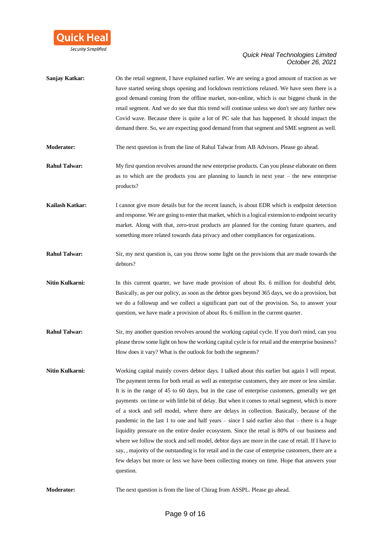

| Sanjay Katkar:       | On the retail segment, I have explained earlier. We are seeing a good amount of traction as we<br>have started seeing shops opening and lockdown restrictions relaxed. We have seen there is a<br>good demand coming from the offline market, non-online, which is our biggest chunk in the<br>retail segment. And we do see that this trend will continue unless we don't see any further new<br>Covid wave. Because there is quite a lot of PC sale that has happened. It should impact the<br>demand there. So, we are expecting good demand from that segment and SME segment as well.                                                                                                                                                                                                                                                                                                                                                                                                                                             |
|----------------------|----------------------------------------------------------------------------------------------------------------------------------------------------------------------------------------------------------------------------------------------------------------------------------------------------------------------------------------------------------------------------------------------------------------------------------------------------------------------------------------------------------------------------------------------------------------------------------------------------------------------------------------------------------------------------------------------------------------------------------------------------------------------------------------------------------------------------------------------------------------------------------------------------------------------------------------------------------------------------------------------------------------------------------------|
| Moderator:           | The next question is from the line of Rahul Talwar from AB Advisors. Please go ahead.                                                                                                                                                                                                                                                                                                                                                                                                                                                                                                                                                                                                                                                                                                                                                                                                                                                                                                                                                  |
| <b>Rahul Talwar:</b> | My first question revolves around the new enterprise products. Can you please elaborate on them<br>as to which are the products you are planning to launch in next year $-$ the new enterprise<br>products?                                                                                                                                                                                                                                                                                                                                                                                                                                                                                                                                                                                                                                                                                                                                                                                                                            |
| Kailash Katkar:      | I cannot give more details but for the recent launch, is about EDR which is endpoint detection<br>and response. We are going to enter that market, which is a logical extension to endpoint security<br>market. Along with that, zero-trust products are planned for the coming future quarters, and<br>something more related towards data privacy and other compliances for organizations.                                                                                                                                                                                                                                                                                                                                                                                                                                                                                                                                                                                                                                           |
| <b>Rahul Talwar:</b> | Sir, my next question is, can you throw some light on the provisions that are made towards the<br>debtors?                                                                                                                                                                                                                                                                                                                                                                                                                                                                                                                                                                                                                                                                                                                                                                                                                                                                                                                             |
| Nitin Kulkarni:      | In this current quarter, we have made provision of about Rs. 6 million for doubtful debt.<br>Basically, as per our policy, as soon as the debtor goes beyond 365 days, we do a provision, but<br>we do a followup and we collect a significant part out of the provision. So, to answer your<br>question, we have made a provision of about Rs. 6 million in the current quarter.                                                                                                                                                                                                                                                                                                                                                                                                                                                                                                                                                                                                                                                      |
| <b>Rahul Talwar:</b> | Sir, my another question revolves around the working capital cycle. If you don't mind, can you<br>please throw some light on how the working capital cycle is for retail and the enterprise business?<br>How does it vary? What is the outlook for both the segments?                                                                                                                                                                                                                                                                                                                                                                                                                                                                                                                                                                                                                                                                                                                                                                  |
| Nitin Kulkarni:      | Working capital mainly covers debtor days. I talked about this earlier but again I will repeat.<br>The payment terms for both retail as well as enterprise customers, they are more or less similar.<br>It is in the range of 45 to 60 days, but in the case of enterprise customers, generally we get<br>payments on time or with little bit of delay. But when it comes to retail segment, which is more<br>of a stock and sell model, where there are delays in collection. Basically, because of the<br>pandemic in the last 1 to one and half years – since I said earlier also that – there is a huge<br>liquidity pressure on the entire dealer ecosystem. Since the retail is 80% of our business and<br>where we follow the stock and sell model, debtor days are more in the case of retail. If I have to<br>say, , majority of the outstanding is for retail and in the case of enterprise customers, there are a<br>few delays but more or less we have been collecting money on time. Hope that answers your<br>question. |
| Moderator:           | The next question is from the line of Chirag from ASSPL. Please go ahead.                                                                                                                                                                                                                                                                                                                                                                                                                                                                                                                                                                                                                                                                                                                                                                                                                                                                                                                                                              |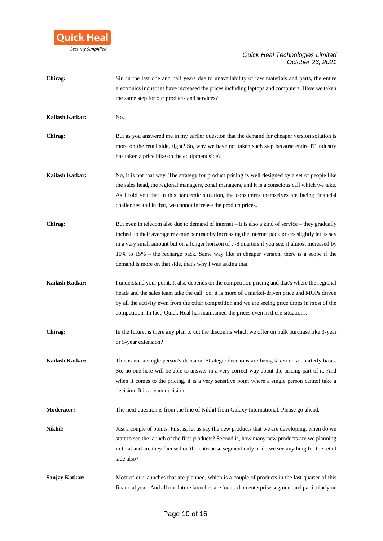

| Chirag:           | Sir, in the last one and half years due to unavailability of raw materials and parts, the entire                                                |
|-------------------|-------------------------------------------------------------------------------------------------------------------------------------------------|
|                   | electronics industries have increased the prices including laptops and computers. Have we taken                                                 |
|                   | the same step for our products and services?                                                                                                    |
| Kailash Katkar:   | No.                                                                                                                                             |
| Chirag:           | But as you answered me in my earlier question that the demand for cheaper version solution is                                                   |
|                   | more on the retail side, right? So, why we have not taken such step because entire IT industry<br>has taken a price hike on the equipment side? |
| Kailash Katkar:   | No, it is not that way. The strategy for product pricing is well designed by a set of people like                                               |
|                   | the sales head, the regional managers, zonal managers, and it is a conscious call which we take.                                                |
|                   | As I told you that in this pandemic situation, the consumers themselves are facing financial                                                    |
|                   | challenges and in that, we cannot increase the product prices.                                                                                  |
| Chirag:           | But even in telecom also due to demand of internet $-$ it is also a kind of service $-$ they gradually                                          |
|                   | inched up their average revenue per user by increasing the internet pack prices slightly let us say                                             |
|                   | in a very small amount but on a longer horizon of 7-8 quarters if you see, it almost increased by                                               |
|                   | 10% to 15% – the recharge pack. Same way like in cheaper version, there is a scope if the                                                       |
|                   | demand is more on that side, that's why I was asking that.                                                                                      |
| Kailash Katkar:   | I understand your point. It also depends on the competition pricing and that's where the regional                                               |
|                   | heads and the sales team take the call. So, it is more of a market-driven price and MOPs driven                                                 |
|                   | by all the activity even from the other competition and we are seeing price drops in most of the                                                |
|                   | competition. In fact, Quick Heal has maintained the prices even in these situations.                                                            |
| Chirag:           | In the future, is there any plan to cut the discounts which we offer on bulk purchase like 3-year                                               |
|                   | or 5-year extension?                                                                                                                            |
| Kailash Katkar:   | This is not a single person's decision. Strategic decisions are being taken on a quarterly basis.                                               |
|                   | So, no one here will be able to answer in a very correct way about the pricing part of it. And                                                  |
|                   | when it comes to the pricing, it is a very sensitive point where a single person cannot take a                                                  |
|                   | decision. It is a team decision.                                                                                                                |
| <b>Moderator:</b> | The next question is from the line of Nikhil from Galaxy International. Please go ahead.                                                        |
| Nikhil:           | Just a couple of points. First is, let us say the new products that we are developing, when do we                                               |
|                   | start to see the launch of the first products? Second is, how many new products are we planning                                                 |
|                   | in total and are they focused on the enterprise segment only or do we see anything for the retail                                               |
|                   | side also?                                                                                                                                      |
| Sanjay Katkar:    | Most of our launches that are planned, which is a couple of products in the last quarter of this                                                |
|                   | financial year. And all our future launches are focused on enterprise segment and particularly on                                               |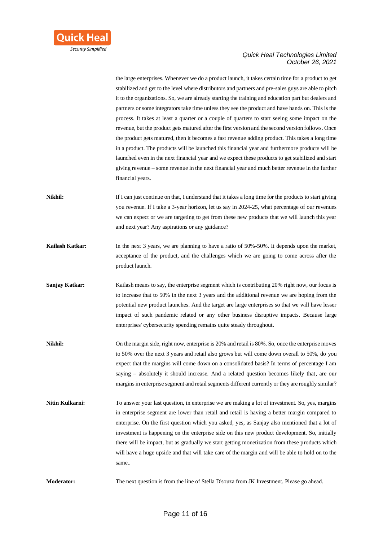

the large enterprises. Whenever we do a product launch, it takes certain time for a product to get stabilized and get to the level where distributors and partners and pre-sales guys are able to pitch it to the organizations. So, we are already starting the training and education part but dealers and partners or some integrators take time unless they see the product and have hands on. This is the process. It takes at least a quarter or a couple of quarters to start seeing some impact on the revenue, but the product gets matured after the first version and the second version follows. Once the product gets matured, then it becomes a fast revenue adding product. This takes a long time in a product. The products will be launched this financial year and furthermore products will be launched even in the next financial year and we expect these products to get stabilized and start giving revenue – some revenue in the next financial year and much better revenue in the further financial years.

- **Nikhil:** If I can just continue on that, I understand that it takes a long time for the products to start giving you revenue. If I take a 3-year horizon, let us say in 2024-25, what percentage of our revenues we can expect or we are targeting to get from these new products that we will launch this year and next year? Any aspirations or any guidance?
- **Kailash Katkar:** In the next 3 years, we are planning to have a ratio of 50%-50%. It depends upon the market, acceptance of the product, and the challenges which we are going to come across after the product launch.
- **Sanjay Katkar:** Kailash means to say, the enterprise segment which is contributing 20% right now, our focus is to increase that to 50% in the next 3 years and the additional revenue we are hoping from the potential new product launches. And the target are large enterprises so that we will have lesser impact of such pandemic related or any other business disruptive impacts. Because large enterprises' cybersecurity spending remains quite steady throughout.
- **Nikhil:** On the margin side, right now, enterprise is 20% and retail is 80%. So, once the enterprise moves to 50% over the next 3 years and retail also grows but will come down overall to 50%, do you expect that the margins will come down on a consolidated basis? In terms of percentage I am saying – absolutely it should increase. And a related question becomes likely that, are our margins in enterprise segment and retail segments different currently or they are roughly similar?
- **Nitin Kulkarni:** To answer your last question, in enterprise we are making a lot of investment. So, yes, margins in enterprise segment are lower than retail and retail is having a better margin compared to enterprise. On the first question which you asked, yes, as Sanjay also mentioned that a lot of investment is happening on the enterprise side on this new product development. So, initially there will be impact, but as gradually we start getting monetization from these products which will have a huge upside and that will take care of the margin and will be able to hold on to the same..

**Moderator:** The next question is from the line of Stella D'souza from JK Investment. Please go ahead.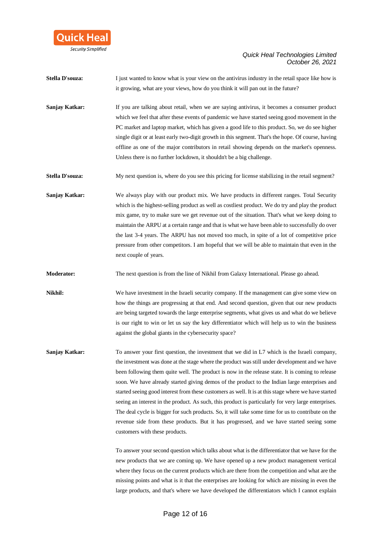

**Stella D'souza:** I just wanted to know what is your view on the antivirus industry in the retail space like how is it growing, what are your views, how do you think it will pan out in the future?

**Sanjay Katkar:** If you are talking about retail, when we are saying antivirus, it becomes a consumer product which we feel that after these events of pandemic we have started seeing good movement in the PC market and laptop market, which has given a good life to this product. So, we do see higher single digit or at least early two-digit growth in this segment. That's the hope. Of course, having offline as one of the major contributors in retail showing depends on the market's openness. Unless there is no further lockdown, it shouldn't be a big challenge.

**Stella D'souza:** My next question is, where do you see this pricing for license stabilizing in the retail segment?

**Sanjay Katkar:** We always play with our product mix. We have products in different ranges. Total Security which is the highest-selling product as well as costliest product. We do try and play the product mix game, try to make sure we get revenue out of the situation. That's what we keep doing to maintain the ARPU at a certain range and that is what we have been able to successfully do over the last 3-4 years. The ARPU has not moved too much, in spite of a lot of competitive price pressure from other competitors. I am hopeful that we will be able to maintain that even in the next couple of years.

**Moderator:** The next question is from the line of Nikhil from Galaxy International. Please go ahead.

**Nikhil:** We have investment in the Israeli security company. If the management can give some view on how the things are progressing at that end. And second question, given that our new products are being targeted towards the large enterprise segments, what gives us and what do we believe is our right to win or let us say the key differentiator which will help us to win the business against the global giants in the cybersecurity space?

**Sanjay Katkar:** To answer your first question, the investment that we did in L7 which is the Israeli company, the investment was done at the stage where the product was still under development and we have been following them quite well. The product is now in the release state. It is coming to release soon. We have already started giving demos of the product to the Indian large enterprises and started seeing good interest from these customers as well. It is at this stage where we have started seeing an interest in the product. As such, this product is particularly for very large enterprises. The deal cycle is bigger for such products. So, it will take some time for us to contribute on the revenue side from these products. But it has progressed, and we have started seeing some customers with these products.

> To answer your second question which talks about what is the differentiator that we have for the new products that we are coming up. We have opened up a new product management vertical where they focus on the current products which are there from the competition and what are the missing points and what is it that the enterprises are looking for which are missing in even the large products, and that's where we have developed the differentiators which I cannot explain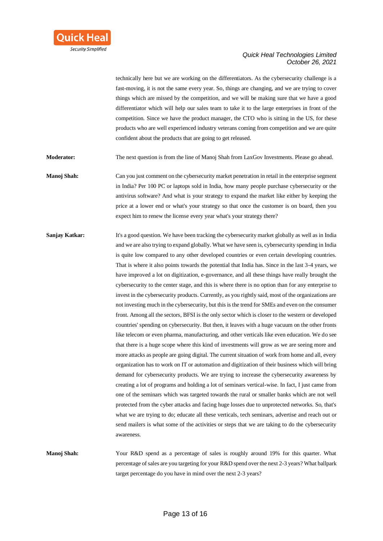

technically here but we are working on the differentiators. As the cybersecurity challenge is a fast-moving, it is not the same every year. So, things are changing, and we are trying to cover things which are missed by the competition, and we will be making sure that we have a good differentiator which will help our sales team to take it to the large enterprises in front of the competition. Since we have the product manager, the CTO who is sitting in the US, for these products who are well experienced industry veterans coming from competition and we are quite confident about the products that are going to get released.

**Moderator:** The next question is from the line of Manoj Shah from LaxGov Investments. Please go ahead.

**Manoj Shah:** Can you just comment on the cybersecurity market penetration in retail in the enterprise segment in India? Per 100 PC or laptops sold in India, how many people purchase cybersecurity or the antivirus software? And what is your strategy to expand the market like either by keeping the price at a lower end or what's your strategy so that once the customer is on board, then you expect him to renew the license every year what's your strategy there?

**Sanjay Katkar:** It's a good question. We have been tracking the cybersecurity market globally as well as in India and we are also trying to expand globally. What we have seen is, cybersecurity spending in India is quite low compared to any other developed countries or even certain developing countries. That is where it also points towards the potential that India has. Since in the last 3-4 years, we have improved a lot on digitization, e-governance, and all these things have really brought the cybersecurity to the center stage, and this is where there is no option than for any enterprise to invest in the cybersecurity products. Currently, as you rightly said, most of the organizations are not investing much in the cybersecurity, but this is the trend for SMEs and even on the consumer front. Among all the sectors, BFSI is the only sector which is closer to the western or developed countries' spending on cybersecurity. But then, it leaves with a huge vacuum on the other fronts like telecom or even pharma, manufacturing, and other verticals like even education. We do see that there is a huge scope where this kind of investments will grow as we are seeing more and more attacks as people are going digital. The current situation of work from home and all, every organization has to work on IT or automation and digitization of their business which will bring demand for cybersecurity products. We are trying to increase the cybersecurity awareness by creating a lot of programs and holding a lot of seminars vertical-wise. In fact, I just came from one of the seminars which was targeted towards the rural or smaller banks which are not well protected from the cyber attacks and facing huge losses due to unprotected networks. So, that's what we are trying to do; educate all these verticals, tech seminars, advertise and reach out or send mailers is what some of the activities or steps that we are taking to do the cybersecurity awareness.

**Manoj Shah:** Your R&D spend as a percentage of sales is roughly around 19% for this quarter. What percentage of sales are you targeting for your R&D spend over the next 2-3 years? What ballpark target percentage do you have in mind over the next 2-3 years?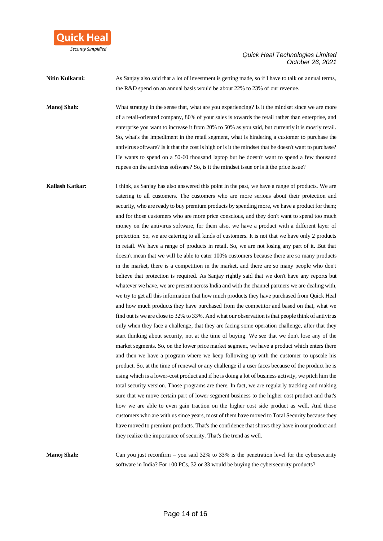

**Nitin Kulkarni:** As Sanjay also said that a lot of investment is getting made, so if I have to talk on annual terms, the R&D spend on an annual basis would be about 22% to 23% of our revenue.

**Manoj Shah:** What strategy in the sense that, what are you experiencing? Is it the mindset since we are more of a retail-oriented company, 80% of your sales is towards the retail rather than enterprise, and enterprise you want to increase it from 20% to 50% as you said, but currently it is mostly retail. So, what's the impediment in the retail segment, what is hindering a customer to purchase the antivirus software? Is it that the cost is high or is it the mindset that he doesn't want to purchase? He wants to spend on a 50-60 thousand laptop but he doesn't want to spend a few thousand rupees on the antivirus software? So, is it the mindset issue or is it the price issue?

**Kailash Katkar:** I think, as Sanjay has also answered this point in the past, we have a range of products. We are catering to all customers. The customers who are more serious about their protection and security, who are ready to buy premium products by spending more, we have a product for them; and for those customers who are more price conscious, and they don't want to spend too much money on the antivirus software, for them also, we have a product with a different layer of protection. So, we are catering to all kinds of customers. It is not that we have only 2 products in retail. We have a range of products in retail. So, we are not losing any part of it. But that doesn't mean that we will be able to cater 100% customers because there are so many products in the market, there is a competition in the market, and there are so many people who don't believe that protection is required. As Sanjay rightly said that we don't have any reports but whatever we have, we are present across India and with the channel partners we are dealing with, we try to get all this information that how much products they have purchased from Quick Heal and how much products they have purchased from the competitor and based on that, what we find out is we are close to 32% to 33%. And what our observation is that people think of antivirus only when they face a challenge, that they are facing some operation challenge, after that they start thinking about security, not at the time of buying. We see that we don't lose any of the market segments. So, on the lower price market segment, we have a product which enters there and then we have a program where we keep following up with the customer to upscale his product. So, at the time of renewal or any challenge if a user faces because of the product he is using which is a lower-cost product and if he is doing a lot of business activity, we pitch him the total security version. Those programs are there. In fact, we are regularly tracking and making sure that we move certain part of lower segment business to the higher cost product and that's how we are able to even gain traction on the higher cost side product as well. And those customers who are with us since years, most of them have moved to Total Security because they have moved to premium products. That's the confidence that shows they have in our product and they realize the importance of security. That's the trend as well.

**Manoj Shah:** Can you just reconfirm – you said 32% to 33% is the penetration level for the cybersecurity software in India? For 100 PCs, 32 or 33 would be buying the cybersecurity products?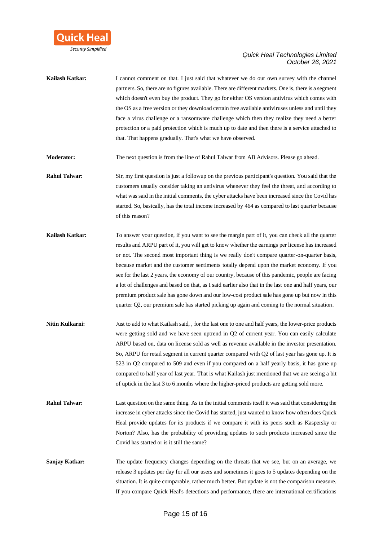

**Kailash Katkar:** I cannot comment on that. I just said that whatever we do our own survey with the channel partners. So, there are no figures available. There are different markets. One is, there is a segment which doesn't even buy the product. They go for either OS version antivirus which comes with the OS as a free version or they download certain free available antiviruses unless and until they face a virus challenge or a ransomware challenge which then they realize they need a better protection or a paid protection which is much up to date and then there is a service attached to that. That happens gradually. That's what we have observed.

**Moderator:** The next question is from the line of Rahul Talwar from AB Advisors. Please go ahead.

- **Rahul Talwar:** Sir, my first question is just a followup on the previous participant's question. You said that the customers usually consider taking an antivirus whenever they feel the threat, and according to what was said in the initial comments, the cyber attacks have been increased since the Covid has started. So, basically, has the total income increased by 464 as compared to last quarter because of this reason?
- **Kailash Katkar:** To answer your question, if you want to see the margin part of it, you can check all the quarter results and ARPU part of it, you will get to know whether the earnings per license has increased or not. The second most important thing is we really don't compare quarter-on-quarter basis, because market and the customer sentiments totally depend upon the market economy. If you see for the last 2 years, the economy of our country, because of this pandemic, people are facing a lot of challenges and based on that, as I said earlier also that in the last one and half years, our premium product sale has gone down and our low-cost product sale has gone up but now in this quarter Q2, our premium sale has started picking up again and coming to the normal situation.
- **Nitin Kulkarni:** Just to add to what Kailash said, , for the last one to one and half years, the lower-price products were getting sold and we have seen uptrend in Q2 of current year. You can easily calculate ARPU based on, data on license sold as well as revenue available in the investor presentation. So, ARPU for retail segment in current quarter compared with Q2 of last year has gone up. It is 523 in Q2 compared to 509 and even if you compared on a half yearly basis, it has gone up compared to half year of last year. That is what Kailash just mentioned that we are seeing a bit of uptick in the last 3 to 6 months where the higher-priced products are getting sold more.
- **Rahul Talwar:** Last question on the same thing. As in the initial comments itself it was said that considering the increase in cyber attacks since the Covid has started, just wanted to know how often does Quick Heal provide updates for its products if we compare it with its peers such as Kaspersky or Norton? Also, has the probability of providing updates to such products increased since the Covid has started or is it still the same?
- **Sanjay Katkar:** The update frequency changes depending on the threats that we see, but on an average, we release 3 updates per day for all our users and sometimes it goes to 5 updates depending on the situation. It is quite comparable, rather much better. But update is not the comparison measure. If you compare Quick Heal's detections and performance, there are international certifications